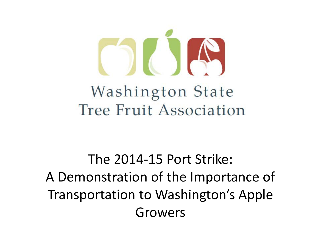

Washington State Tree Fruit Association

The 2014-15 Port Strike: A Demonstration of the Importance of Transportation to Washington's Apple Growers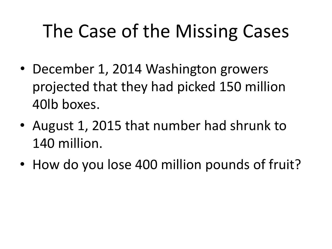### The Case of the Missing Cases

- December 1, 2014 Washington growers projected that they had picked 150 million 40lb boxes.
- August 1, 2015 that number had shrunk to 140 million.
- How do you lose 400 million pounds of fruit?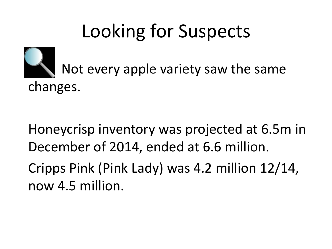# Looking for Suspects



 Not every apple variety saw the same changes.

Honeycrisp inventory was projected at 6.5m in December of 2014, ended at 6.6 million.

Cripps Pink (Pink Lady) was 4.2 million 12/14, now 4.5 million.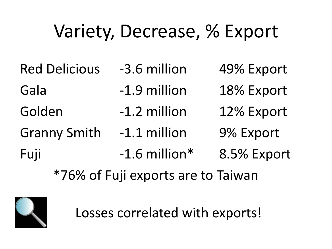## Variety, Decrease, % Export

Red Delicious -3.6 million 49% Export Gala -1.9 million 18% Export Golden -1.2 million 12% Export Granny Smith -1.1 million 9% Export Fuji -1.6 million\* 8.5% Export \*76% of Fuji exports are to Taiwan



Losses correlated with exports!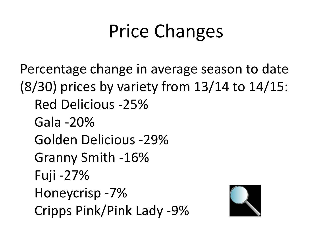### Price Changes

Percentage change in average season to date (8/30) prices by variety from 13/14 to 14/15: Red Delicious -25% Gala -20% Golden Delicious -29% Granny Smith -16% Fuji -27% Honeycrisp -7% Cripps Pink/Pink Lady -9%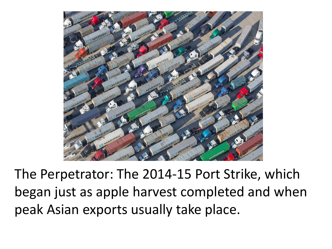

The Perpetrator: The 2014-15 Port Strike, which began just as apple harvest completed and when peak Asian exports usually take place.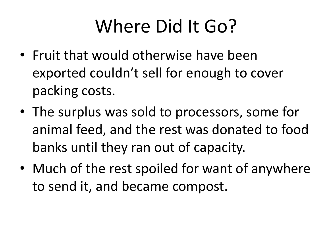#### Where Did It Go?

- Fruit that would otherwise have been exported couldn't sell for enough to cover packing costs.
- The surplus was sold to processors, some for animal feed, and the rest was donated to food banks until they ran out of capacity.
- Much of the rest spoiled for want of anywhere to send it, and became compost.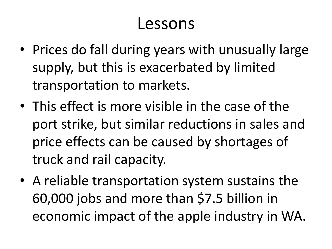#### Lessons

- Prices do fall during years with unusually large supply, but this is exacerbated by limited transportation to markets.
- This effect is more visible in the case of the port strike, but similar reductions in sales and price effects can be caused by shortages of truck and rail capacity.
- A reliable transportation system sustains the 60,000 jobs and more than \$7.5 billion in economic impact of the apple industry in WA.